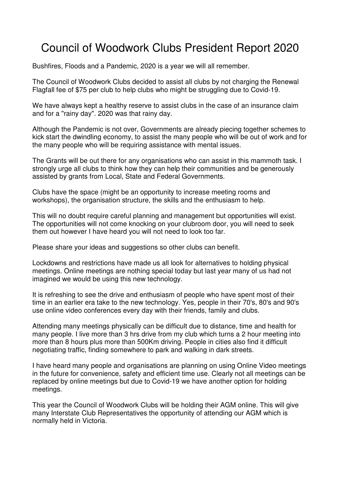## Council of Woodwork Clubs President Report 2020

Bushfires, Floods and a Pandemic, 2020 is a year we will all remember.

The Council of Woodwork Clubs decided to assist all clubs by not charging the Renewal Flagfall fee of \$75 per club to help clubs who might be struggling due to Covid-19.

We have always kept a healthy reserve to assist clubs in the case of an insurance claim and for a "rainy day". 2020 was that rainy day.

Although the Pandemic is not over, Governments are already piecing together schemes to kick start the dwindling economy, to assist the many people who will be out of work and for the many people who will be requiring assistance with mental issues.

The Grants will be out there for any organisations who can assist in this mammoth task. I strongly urge all clubs to think how they can help their communities and be generously assisted by grants from Local, State and Federal Governments.

Clubs have the space (might be an opportunity to increase meeting rooms and workshops), the organisation structure, the skills and the enthusiasm to help.

This will no doubt require careful planning and management but opportunities will exist. The opportunities will not come knocking on your clubroom door, you will need to seek them out however I have heard you will not need to look too far.

Please share your ideas and suggestions so other clubs can benefit.

Lockdowns and restrictions have made us all look for alternatives to holding physical meetings. Online meetings are nothing special today but last year many of us had not imagined we would be using this new technology.

It is refreshing to see the drive and enthusiasm of people who have spent most of their time in an earlier era take to the new technology. Yes, people in their 70's, 80's and 90's use online video conferences every day with their friends, family and clubs.

Attending many meetings physically can be difficult due to distance, time and health for many people. I live more than 3 hrs drive from my club which turns a 2 hour meeting into more than 8 hours plus more than 500Km driving. People in cities also find it difficult negotiating traffic, finding somewhere to park and walking in dark streets.

I have heard many people and organisations are planning on using Online Video meetings in the future for convenience, safety and efficient time use. Clearly not all meetings can be replaced by online meetings but due to Covid-19 we have another option for holding meetings.

This year the Council of Woodwork Clubs will be holding their AGM online. This will give many Interstate Club Representatives the opportunity of attending our AGM which is normally held in Victoria.